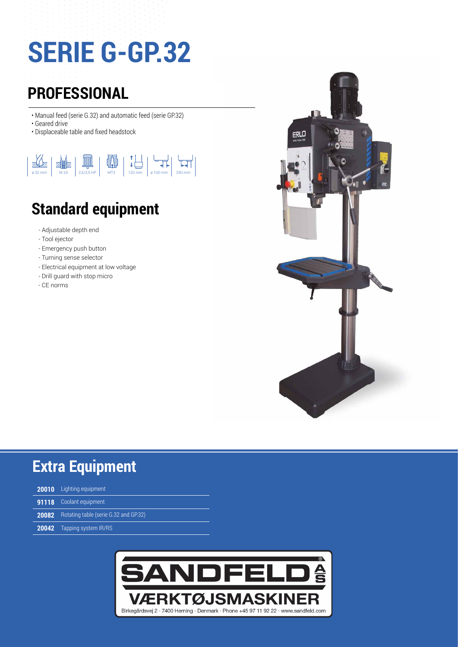## **SERIE G-GP.32**

## **PROFESSIONAL**

- Manual feed (serie G.32) and automatic feed (serie GP.32)
- Geared drive
- Displaceable table and fixed headstock



## **Standard equipment**

- Adjustable depth end
- Tool ejector
- Emergency push button
- Turning sense selector
- Electrical equipment at low voltage
- Drill guard with stop micro
- CE norms



## **Extra Equipment**

| <b>20010</b> Lighting equipment                    |
|----------------------------------------------------|
| <b>91118</b> Coolant equipment                     |
| <b>20082</b> Rotating table (serie G.32 and GP.32) |
| <b>20042</b> Tapping system IR/RS                  |